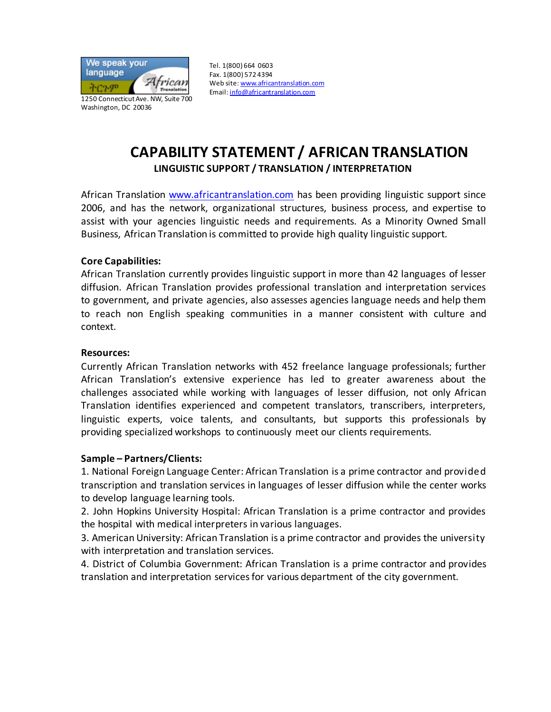

Tel. 1(800) 664 0603 Fax. 1(800) 572 4394 Web site: www.africantranslation.com Email: info@africantranslation.com

# **CAPABILITY STATEMENT / AFRICAN TRANSLATION LINGUISTIC SUPPORT / TRANSLATION / INTERPRETATION**

African Translation www.africantranslation.com has been providing linguistic support since 2006, and has the network, organizational structures, business process, and expertise to assist with your agencies linguistic needs and requirements. As a Minority Owned Small Business, African Translation is committed to provide high quality linguistic support.

### **Core Capabilities:**

African Translation currently provides linguistic support in more than 42 languages of lesser diffusion. African Translation provides professional translation and interpretation services to government, and private agencies, also assesses agencies language needs and help them to reach non English speaking communities in a manner consistent with culture and context.

#### **Resources:**

Currently African Translation networks with 452 freelance language professionals; further African Translation's extensive experience has led to greater awareness about the challenges associated while working with languages of lesser diffusion, not only African Translation identifies experienced and competent translators, transcribers, interpreters, linguistic experts, voice talents, and consultants, but supports this professionals by providing specialized workshops to continuously meet our clients requirements.

### **Sample – Partners/Clients:**

1. National Foreign Language Center: African Translation is a prime contractor and provided transcription and translation services in languages of lesser diffusion while the center works to develop language learning tools.

2. John Hopkins University Hospital: African Translation is a prime contractor and provides the hospital with medical interpreters in various languages.

3. American University: African Translation is a prime contractor and provides the university with interpretation and translation services.

4. District of Columbia Government: African Translation is a prime contractor and provides translation and interpretation services for various department of the city government.